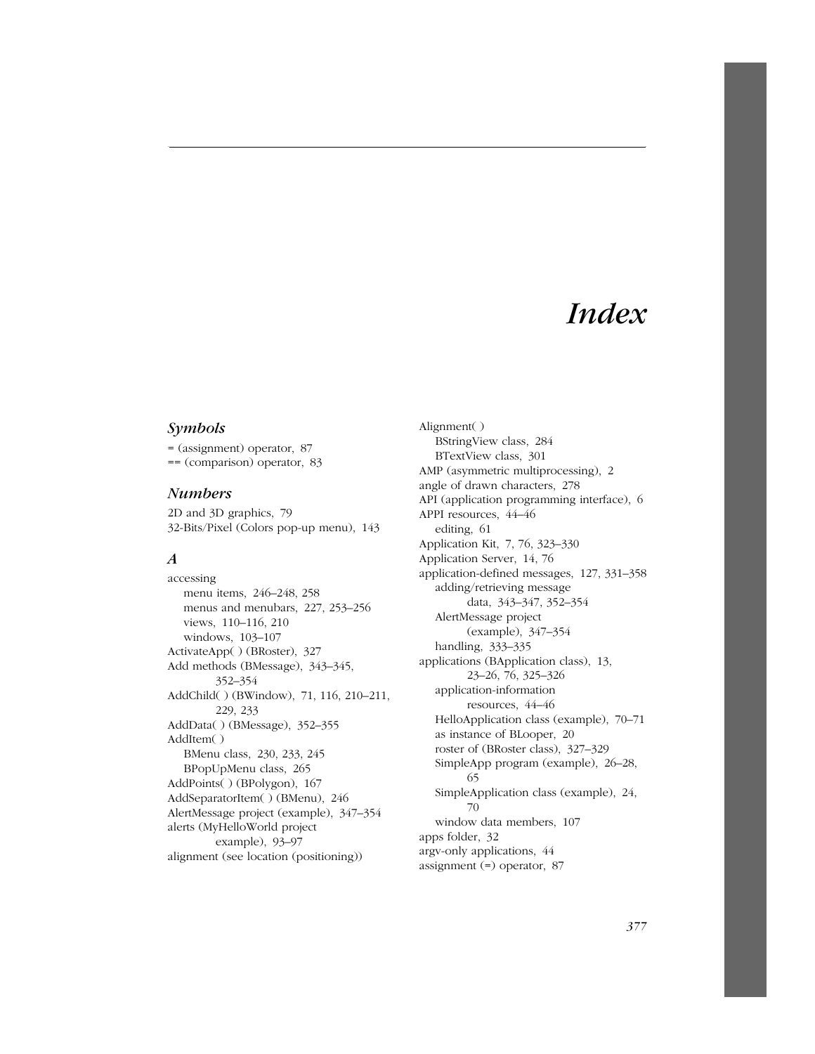# *Index*

#### *Symbols*

= (assignment) operator, 87 == (comparison) operator, 83

#### *Numbers*

2D and 3D graphics, 79 32-Bits/Pixel (Colors pop-up menu), 143

### *A*

accessing menu items, 246–248, 258 menus and menubars, 227, 253–256 views, 110–116, 210 windows, 103–107 ActivateApp( ) (BRoster), 327 Add methods (BMessage), 343–345, 352–354 AddChild( ) (BWindow), 71, 116, 210–211, 229, 233 AddData( ) (BMessage), 352–355 AddItem( ) BMenu class, 230, 233, 245 BPopUpMenu class, 265 AddPoints( ) (BPolygon), 167 AddSeparatorItem( ) (BMenu), 246 AlertMessage project (example), 347–354 alerts (MyHelloWorld project example), 93–97 alignment (see location (positioning))

Alignment( ) BStringView class, 284 BTextView class, 301 AMP (asymmetric multiprocessing), 2 angle of drawn characters, 278 API (application programming interface), 6 APPI resources, 44–46 editing, 61 Application Kit, 7, 76, 323–330 Application Server, 14, 76 application-defined messages, 127, 331–358 adding/retrieving message data, 343–347, 352–354 AlertMessage project (example), 347–354 handling, 333–335 applications (BApplication class), 13, 23–26, 76, 325–326 application-information resources, 44–46 HelloApplication class (example), 70–71 as instance of BLooper, 20 roster of (BRoster class), 327–329 SimpleApp program (example), 26–28, 65 SimpleApplication class (example), 24, 70 window data members, 107 apps folder, 32 argv-only applications, 44 assignment (=) operator, 87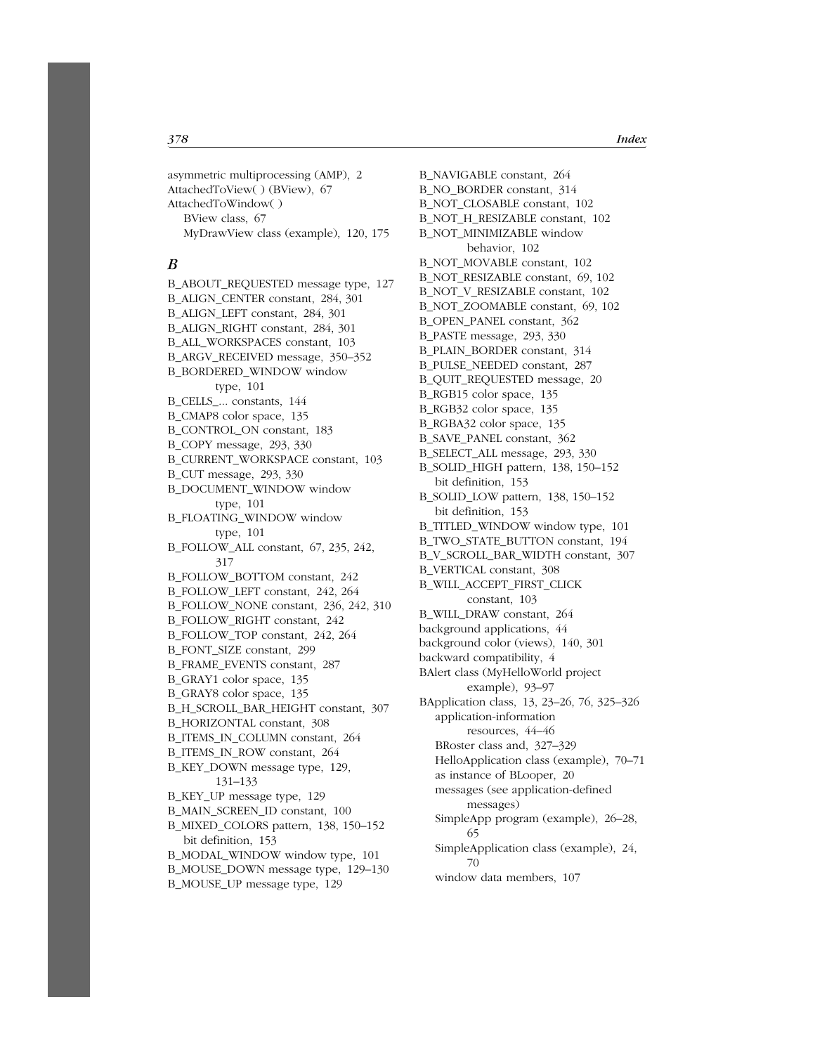asymmetric multiprocessing (AMP), 2 AttachedToView( ) (BView), 67 AttachedToWindow( ) BView class, 67 MyDrawView class (example), 120, 175

#### *B*

B\_ABOUT\_REQUESTED message type, 127 B\_ALIGN\_CENTER constant, 284, 301 B\_ALIGN\_LEFT constant, 284, 301 B\_ALIGN\_RIGHT constant, 284, 301 B\_ALL\_WORKSPACES constant, 103 B\_ARGV\_RECEIVED message, 350–352 B\_BORDERED\_WINDOW window type, 101 B\_CELLS\_... constants, 144 B\_CMAP8 color space, 135 B\_CONTROL\_ON constant, 183 B\_COPY message, 293, 330 B\_CURRENT\_WORKSPACE constant, 103 B\_CUT message, 293, 330 B\_DOCUMENT\_WINDOW window type, 101 B\_FLOATING\_WINDOW window type, 101 B\_FOLLOW\_ALL constant, 67, 235, 242, 317 B\_FOLLOW\_BOTTOM constant, 242 B\_FOLLOW\_LEFT constant, 242, 264 B\_FOLLOW\_NONE constant, 236, 242, 310 B\_FOLLOW\_RIGHT constant, 242 B\_FOLLOW\_TOP constant, 242, 264 B\_FONT\_SIZE constant, 299 B\_FRAME\_EVENTS constant, 287 B\_GRAY1 color space, 135 B\_GRAY8 color space, 135 B\_H\_SCROLL\_BAR\_HEIGHT constant, 307 B\_HORIZONTAL constant, 308 B\_ITEMS\_IN\_COLUMN constant, 264 B\_ITEMS\_IN\_ROW constant, 264 B\_KEY\_DOWN message type, 129, 131–133 B\_KEY\_UP message type, 129 B\_MAIN\_SCREEN\_ID constant, 100 B\_MIXED\_COLORS pattern, 138, 150–152 bit definition, 153 B\_MODAL\_WINDOW window type, 101 B\_MOUSE\_DOWN message type, 129–130

B\_MOUSE\_UP message type, 129

B\_NAVIGABLE constant, 264 B\_NO\_BORDER constant, 314 B\_NOT\_CLOSABLE constant, 102 B\_NOT\_H\_RESIZABLE constant, 102 B\_NOT\_MINIMIZABLE window behavior, 102 B\_NOT\_MOVABLE constant, 102 B\_NOT\_RESIZABLE constant, 69, 102 B\_NOT\_V\_RESIZABLE constant, 102 B\_NOT\_ZOOMABLE constant, 69, 102 B\_OPEN\_PANEL constant, 362 B\_PASTE message, 293, 330 B\_PLAIN\_BORDER constant, 314 B\_PULSE\_NEEDED constant, 287 B\_QUIT\_REQUESTED message, 20 B\_RGB15 color space, 135 B\_RGB32 color space, 135 B\_RGBA32 color space, 135 B\_SAVE\_PANEL constant, 362 B\_SELECT\_ALL message, 293, 330 B\_SOLID\_HIGH pattern, 138, 150–152 bit definition, 153 B\_SOLID\_LOW pattern, 138, 150–152 bit definition, 153 B\_TITLED\_WINDOW window type, 101 B\_TWO\_STATE\_BUTTON constant, 194 B\_V\_SCROLL\_BAR\_WIDTH constant, 307 B\_VERTICAL constant, 308 B\_WILL\_ACCEPT\_FIRST\_CLICK constant, 103 B\_WILL\_DRAW constant, 264 background applications, 44 background color (views), 140, 301 backward compatibility, 4 BAlert class (MyHelloWorld project example), 93–97 BApplication class, 13, 23–26, 76, 325–326 application-information resources, 44–46 BRoster class and, 327–329 HelloApplication class (example), 70–71 as instance of BLooper, 20 messages (see application-defined messages) SimpleApp program (example), 26–28, 65 SimpleApplication class (example), 24, 70 window data members, 107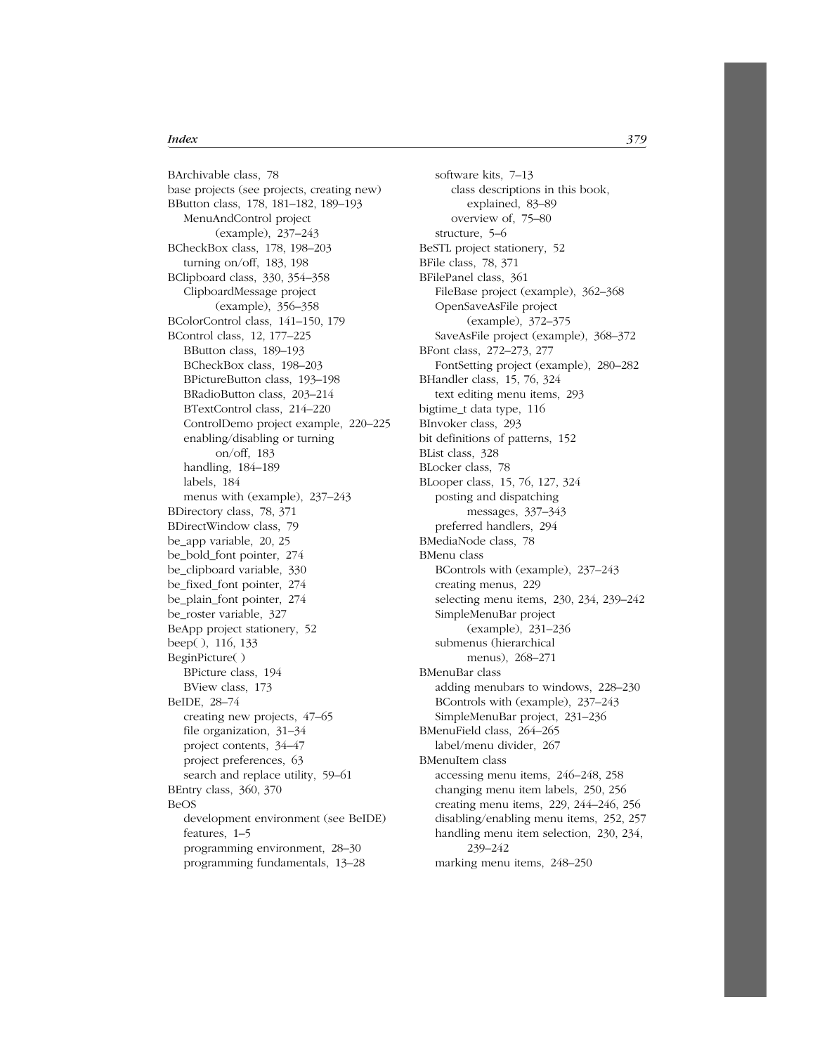BArchivable class, 78 base projects (see projects, creating new) BButton class, 178, 181–182, 189–193 MenuAndControl project (example), 237–243 BCheckBox class, 178, 198–203 turning on/off, 183, 198 BClipboard class, 330, 354–358 ClipboardMessage project (example), 356–358 BColorControl class, 141–150, 179 BControl class, 12, 177–225 BButton class, 189–193 BCheckBox class, 198–203 BPictureButton class, 193–198 BRadioButton class, 203–214 BTextControl class, 214–220 ControlDemo project example, 220–225 enabling/disabling or turning on/off, 183 handling, 184–189 labels, 184 menus with (example), 237–243 BDirectory class, 78, 371 BDirectWindow class, 79 be\_app variable, 20, 25 be\_bold\_font pointer, 274 be\_clipboard variable, 330 be\_fixed\_font pointer, 274 be\_plain\_font pointer, 274 be\_roster variable, 327 BeApp project stationery, 52 beep( ), 116, 133 BeginPicture( ) BPicture class, 194 BView class, 173 BeIDE, 28–74 creating new projects, 47–65 file organization, 31–34 project contents, 34–47 project preferences, 63 search and replace utility, 59–61 BEntry class, 360, 370 BeOS development environment (see BeIDE) features, 1–5 programming environment, 28–30 programming fundamentals, 13–28

software kits, 7–13 class descriptions in this book, explained, 83–89 overview of, 75–80 structure, 5–6 BeSTL project stationery, 52 BFile class, 78, 371 BFilePanel class, 361 FileBase project (example), 362–368 OpenSaveAsFile project (example), 372–375 SaveAsFile project (example), 368–372 BFont class, 272–273, 277 FontSetting project (example), 280–282 BHandler class, 15, 76, 324 text editing menu items, 293 bigtime\_t data type, 116 BInvoker class, 293 bit definitions of patterns, 152 BList class, 328 BLocker class, 78 BLooper class, 15, 76, 127, 324 posting and dispatching messages, 337–343 preferred handlers, 294 BMediaNode class, 78 BMenu class BControls with (example), 237–243 creating menus, 229 selecting menu items, 230, 234, 239–242 SimpleMenuBar project (example), 231–236 submenus (hierarchical menus), 268–271 BMenuBar class adding menubars to windows, 228–230 BControls with (example), 237–243 SimpleMenuBar project, 231–236 BMenuField class, 264–265 label/menu divider, 267 BMenuItem class accessing menu items, 246–248, 258 changing menu item labels, 250, 256 creating menu items, 229, 244–246, 256 disabling/enabling menu items, 252, 257 handling menu item selection, 230, 234, 239–242

marking menu items, 248–250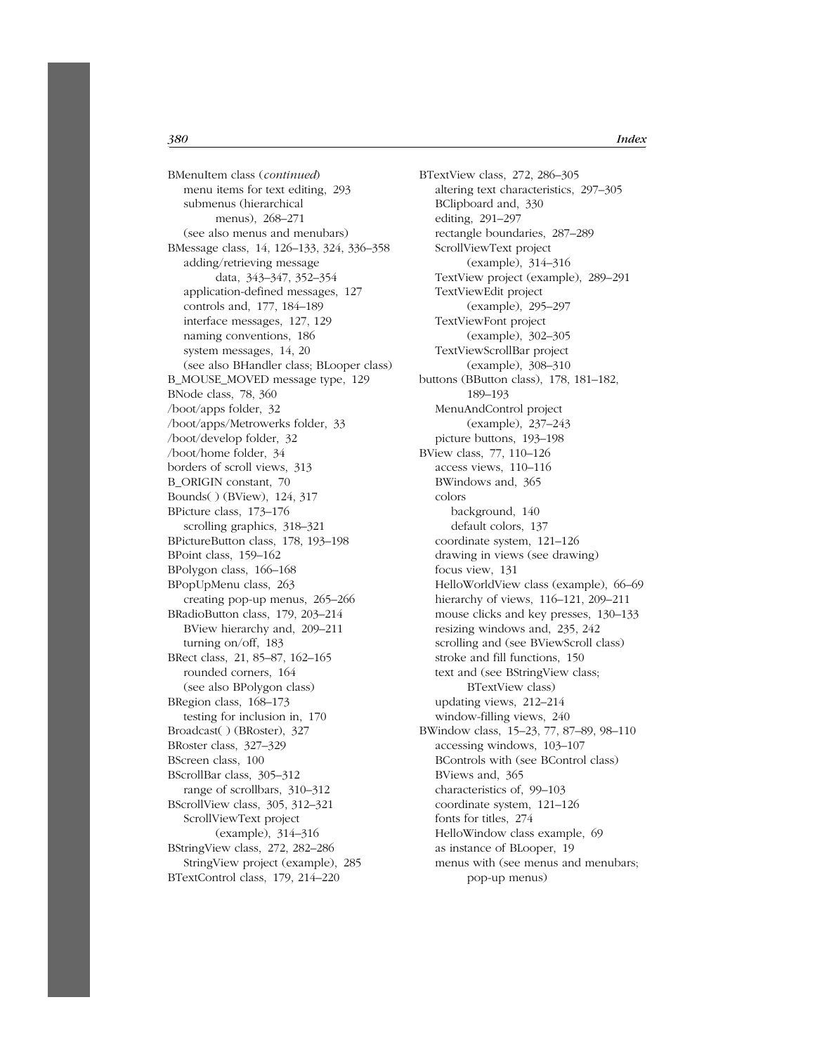BMenuItem class (*continued*) menu items for text editing, 293 submenus (hierarchical menus), 268–271 (see also menus and menubars) BMessage class, 14, 126–133, 324, 336–358 adding/retrieving message data, 343–347, 352–354 application-defined messages, 127 controls and, 177, 184–189 interface messages, 127, 129 naming conventions, 186 system messages, 14, 20 (see also BHandler class; BLooper class) B\_MOUSE\_MOVED message type, 129 BNode class, 78, 360 /boot/apps folder, 32 /boot/apps/Metrowerks folder, 33 /boot/develop folder, 32 /boot/home folder, 34 borders of scroll views, 313 B\_ORIGIN constant, 70 Bounds( ) (BView), 124, 317 BPicture class, 173–176 scrolling graphics, 318–321 BPictureButton class, 178, 193–198 BPoint class, 159–162 BPolygon class, 166–168 BPopUpMenu class, 263 creating pop-up menus, 265–266 BRadioButton class, 179, 203–214 BView hierarchy and, 209–211 turning on/off, 183 BRect class, 21, 85–87, 162–165 rounded corners, 164 (see also BPolygon class) BRegion class, 168–173 testing for inclusion in, 170 Broadcast( ) (BRoster), 327 BRoster class, 327–329 BScreen class, 100 BScrollBar class, 305–312 range of scrollbars, 310–312 BScrollView class, 305, 312–321 ScrollViewText project (example), 314–316 BStringView class, 272, 282–286 StringView project (example), 285 BTextControl class, 179, 214–220

BTextView class, 272, 286–305 altering text characteristics, 297–305 BClipboard and, 330 editing, 291–297 rectangle boundaries, 287–289 ScrollViewText project (example), 314–316 TextView project (example), 289–291 TextViewEdit project (example), 295–297 TextViewFont project (example), 302–305 TextViewScrollBar project (example), 308–310 buttons (BButton class), 178, 181–182, 189–193 MenuAndControl project (example), 237–243 picture buttons, 193–198 BView class, 77, 110–126 access views, 110–116 BWindows and, 365 colors background, 140 default colors, 137 coordinate system, 121–126 drawing in views (see drawing) focus view, 131 HelloWorldView class (example), 66–69 hierarchy of views, 116–121, 209–211 mouse clicks and key presses, 130–133 resizing windows and, 235, 242 scrolling and (see BViewScroll class) stroke and fill functions, 150 text and (see BStringView class; BTextView class) updating views, 212–214 window-filling views, 240 BWindow class, 15–23, 77, 87–89, 98–110 accessing windows, 103–107 BControls with (see BControl class) BViews and, 365 characteristics of, 99–103 coordinate system, 121–126 fonts for titles, 274 HelloWindow class example, 69 as instance of BLooper, 19 menus with (see menus and menubars; pop-up menus)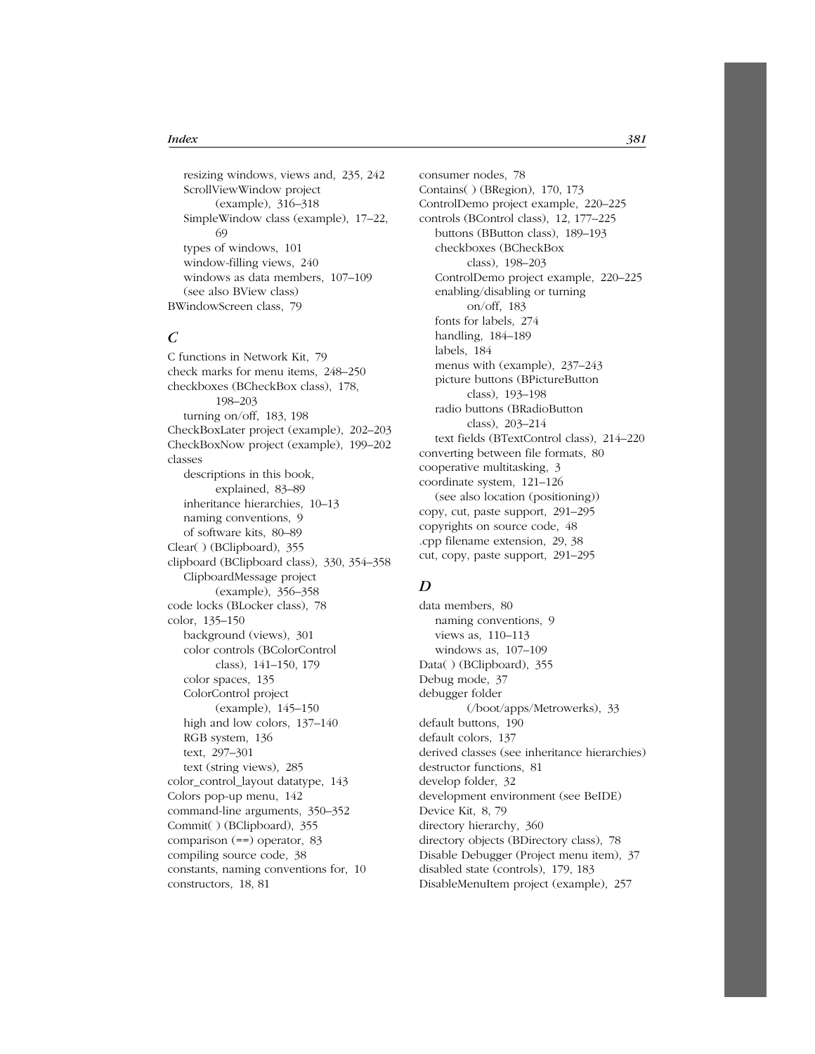resizing windows, views and, 235, 242 ScrollViewWindow project (example), 316–318 SimpleWindow class (example), 17–22, 69 types of windows, 101 window-filling views, 240 windows as data members, 107–109 (see also BView class) BWindowScreen class, 79

#### *C*

C functions in Network Kit, 79 check marks for menu items, 248–250 checkboxes (BCheckBox class), 178, 198–203 turning on/off, 183, 198 CheckBoxLater project (example), 202–203 CheckBoxNow project (example), 199–202 classes descriptions in this book, explained, 83–89 inheritance hierarchies, 10–13 naming conventions, 9 of software kits, 80–89 Clear( ) (BClipboard), 355 clipboard (BClipboard class), 330, 354–358 ClipboardMessage project (example), 356–358 code locks (BLocker class), 78 color, 135–150 background (views), 301 color controls (BColorControl class), 141–150, 179 color spaces, 135 ColorControl project (example), 145–150 high and low colors, 137–140 RGB system, 136 text, 297–301 text (string views), 285 color\_control\_layout datatype, 143 Colors pop-up menu, 142 command-line arguments, 350–352 Commit( ) (BClipboard), 355 comparison (==) operator, 83 compiling source code, 38 constants, naming conventions for, 10 constructors, 18, 81

consumer nodes, 78 Contains( ) (BRegion), 170, 173 ControlDemo project example, 220–225 controls (BControl class), 12, 177–225 buttons (BButton class), 189–193 checkboxes (BCheckBox class), 198–203 ControlDemo project example, 220–225 enabling/disabling or turning on/off, 183 fonts for labels, 274 handling, 184-189 labels, 184 menus with (example), 237–243 picture buttons (BPictureButton class), 193–198 radio buttons (BRadioButton class), 203–214 text fields (BTextControl class), 214–220 converting between file formats, 80 cooperative multitasking, 3 coordinate system, 121–126 (see also location (positioning)) copy, cut, paste support, 291–295 copyrights on source code, 48 .cpp filename extension, 29, 38 cut, copy, paste support, 291–295

### *D*

data members, 80 naming conventions, 9 views as, 110–113 windows as, 107–109 Data() (BClipboard), 355 Debug mode, 37 debugger folder (/boot/apps/Metrowerks), 33 default buttons, 190 default colors, 137 derived classes (see inheritance hierarchies) destructor functions, 81 develop folder, 32 development environment (see BeIDE) Device Kit, 8, 79 directory hierarchy, 360 directory objects (BDirectory class), 78 Disable Debugger (Project menu item), 37 disabled state (controls), 179, 183 DisableMenuItem project (example), 257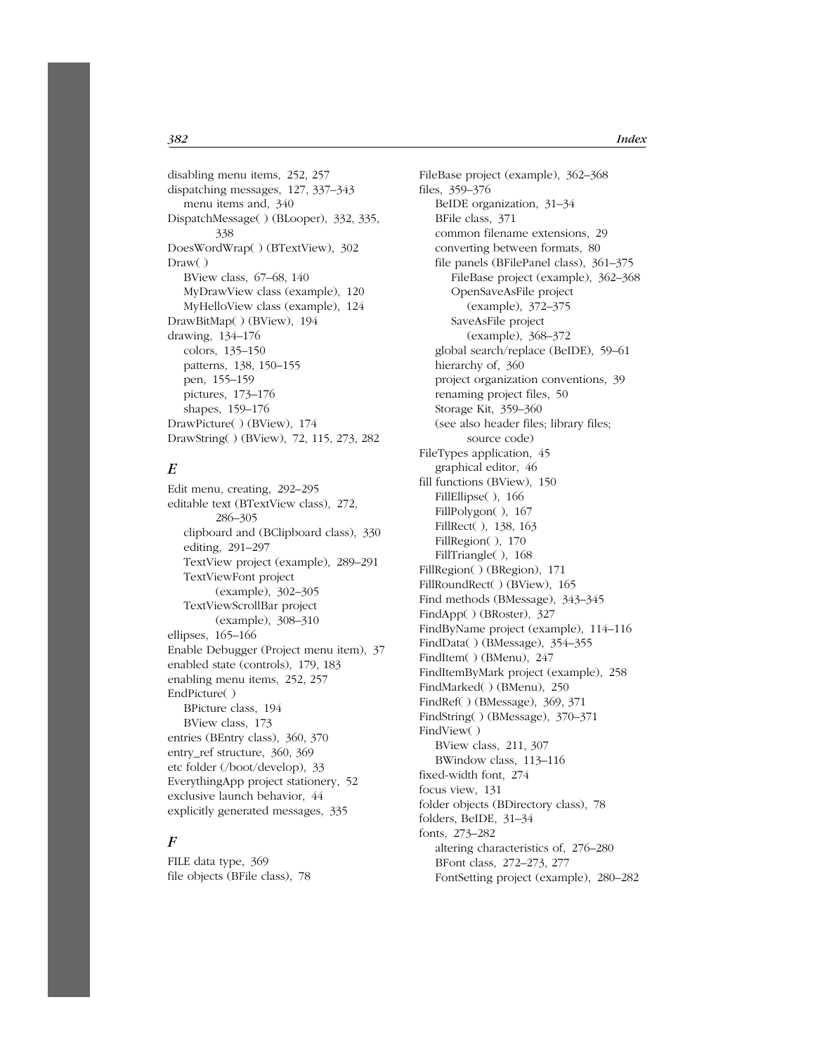disabling menu items, 252, 257 dispatching messages, 127, 337–343 menu items and, 340 DispatchMessage( ) (BLooper), 332, 335, 338 DoesWordWrap( ) (BTextView), 302 Draw( ) BView class, 67–68, 140 MyDrawView class (example), 120 MyHelloView class (example), 124 DrawBitMap( ) (BView), 194 drawing, 134–176 colors, 135–150 patterns, 138, 150–155 pen, 155–159 pictures, 173–176 shapes, 159–176 DrawPicture( ) (BView), 174 DrawString( ) (BView), 72, 115, 273, 282

# *E*

Edit menu, creating, 292–295 editable text (BTextView class), 272, 286–305 clipboard and (BClipboard class), 330 editing, 291–297 TextView project (example), 289–291 TextViewFont project (example), 302–305 TextViewScrollBar project (example), 308–310 ellipses, 165–166 Enable Debugger (Project menu item), 37 enabled state (controls), 179, 183 enabling menu items, 252, 257 EndPicture( ) BPicture class, 194 BView class, 173 entries (BEntry class), 360, 370 entry\_ref structure, 360, 369 etc folder (/boot/develop), 33 EverythingApp project stationery, 52 exclusive launch behavior, 44 explicitly generated messages, 335

# *F*

FILE data type, 369 file objects (BFile class), 78 FileBase project (example), 362–368 files, 359–376 BeIDE organization, 31–34 BFile class, 371 common filename extensions, 29 converting between formats, 80 file panels (BFilePanel class), 361–375 FileBase project (example), 362–368 OpenSaveAsFile project (example), 372–375 SaveAsFile project (example), 368–372 global search/replace (BeIDE), 59–61 hierarchy of, 360 project organization conventions, 39 renaming project files, 50 Storage Kit, 359–360 (see also header files; library files; source code) FileTypes application, 45 graphical editor, 46 fill functions (BView), 150 FillEllipse(), 166 FillPolygon( ), 167 FillRect( ), 138, 163 FillRegion( ), 170 FillTriangle( ), 168 FillRegion( ) (BRegion), 171 FillRoundRect( ) (BView), 165 Find methods (BMessage), 343–345 FindApp( ) (BRoster), 327 FindByName project (example), 114–116 FindData( ) (BMessage), 354–355 FindItem( ) (BMenu), 247 FindItemByMark project (example), 258 FindMarked( ) (BMenu), 250 FindRef( ) (BMessage), 369, 371 FindString( ) (BMessage), 370–371 FindView( ) BView class, 211, 307 BWindow class, 113–116 fixed-width font, 274 focus view, 131 folder objects (BDirectory class), 78 folders, BeIDE, 31–34 fonts, 273–282 altering characteristics of, 276–280 BFont class, 272–273, 277 FontSetting project (example), 280–282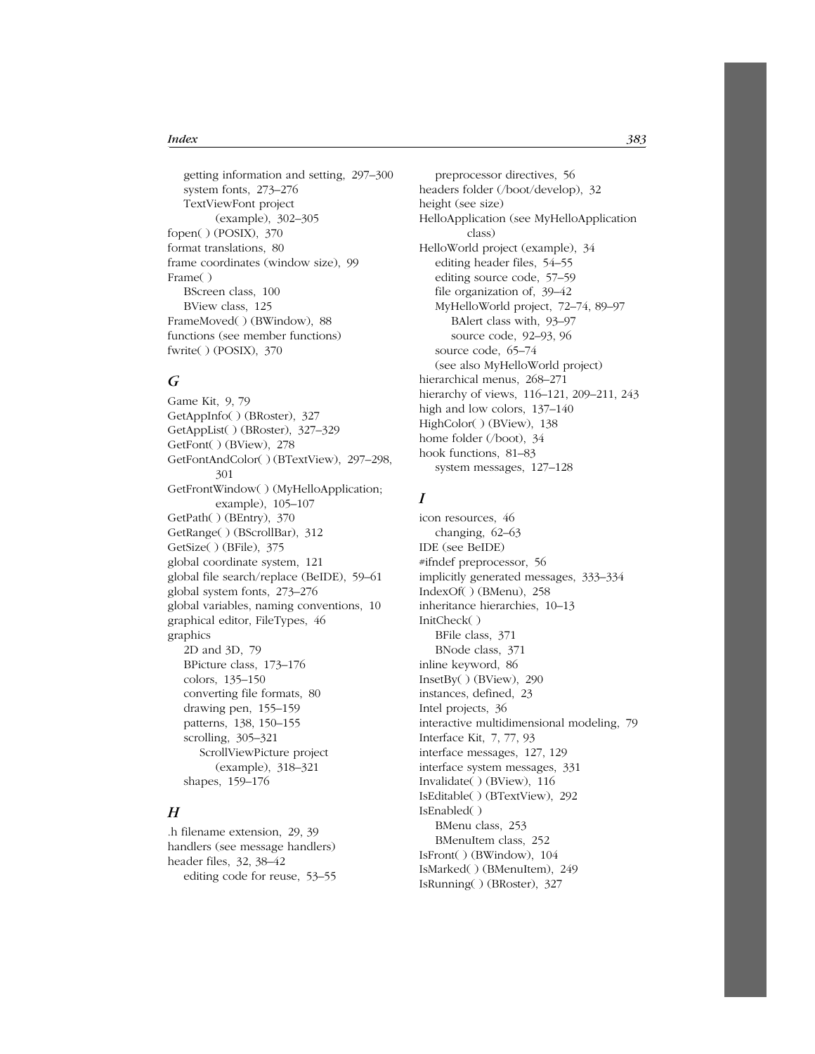getting information and setting, 297–300 system fonts, 273–276 TextViewFont project (example), 302–305 fopen( ) (POSIX), 370 format translations, 80 frame coordinates (window size), 99 Frame( ) BScreen class, 100 BView class, 125 FrameMoved( ) (BWindow), 88 functions (see member functions) fwrite( ) (POSIX), 370

### *G*

Game Kit, 9, 79 GetAppInfo( ) (BRoster), 327 GetAppList( ) (BRoster), 327–329 GetFont( ) (BView), 278 GetFontAndColor( ) (BTextView), 297–298, 301 GetFrontWindow( ) (MyHelloApplication; example), 105–107 GetPath( ) (BEntry), 370 GetRange( ) (BScrollBar), 312 GetSize( ) (BFile), 375 global coordinate system, 121 global file search/replace (BeIDE), 59–61 global system fonts, 273–276 global variables, naming conventions, 10 graphical editor, FileTypes, 46 graphics 2D and 3D, 79 BPicture class, 173–176 colors, 135–150 converting file formats, 80 drawing pen, 155–159 patterns, 138, 150–155 scrolling, 305–321 ScrollViewPicture project (example), 318–321 shapes, 159–176

# *H*

.h filename extension, 29, 39 handlers (see message handlers) header files, 32, 38–42 editing code for reuse, 53–55

preprocessor directives, 56 headers folder (/boot/develop), 32 height (see size) HelloApplication (see MyHelloApplication class) HelloWorld project (example), 34 editing header files, 54–55 editing source code, 57–59 file organization of, 39–42 MyHelloWorld project, 72–74, 89–97 BAlert class with, 93–97 source code, 92–93, 96 source code, 65–74 (see also MyHelloWorld project) hierarchical menus, 268–271 hierarchy of views, 116–121, 209–211, 243 high and low colors, 137–140 HighColor( ) (BView), 138 home folder (/boot), 34 hook functions, 81–83 system messages, 127–128

#### *I*

icon resources, 46 changing, 62–63 IDE (see BeIDE) #ifndef preprocessor, 56 implicitly generated messages, 333–334 IndexOf( ) (BMenu), 258 inheritance hierarchies, 10–13 InitCheck( ) BFile class, 371 BNode class, 371 inline keyword, 86 InsetBy( ) (BView), 290 instances, defined, 23 Intel projects, 36 interactive multidimensional modeling, 79 Interface Kit, 7, 77, 93 interface messages, 127, 129 interface system messages, 331 Invalidate( ) (BView), 116 IsEditable( ) (BTextView), 292 IsEnabled( ) BMenu class, 253 BMenuItem class, 252 IsFront( ) (BWindow), 104 IsMarked( ) (BMenuItem), 249 IsRunning( ) (BRoster), 327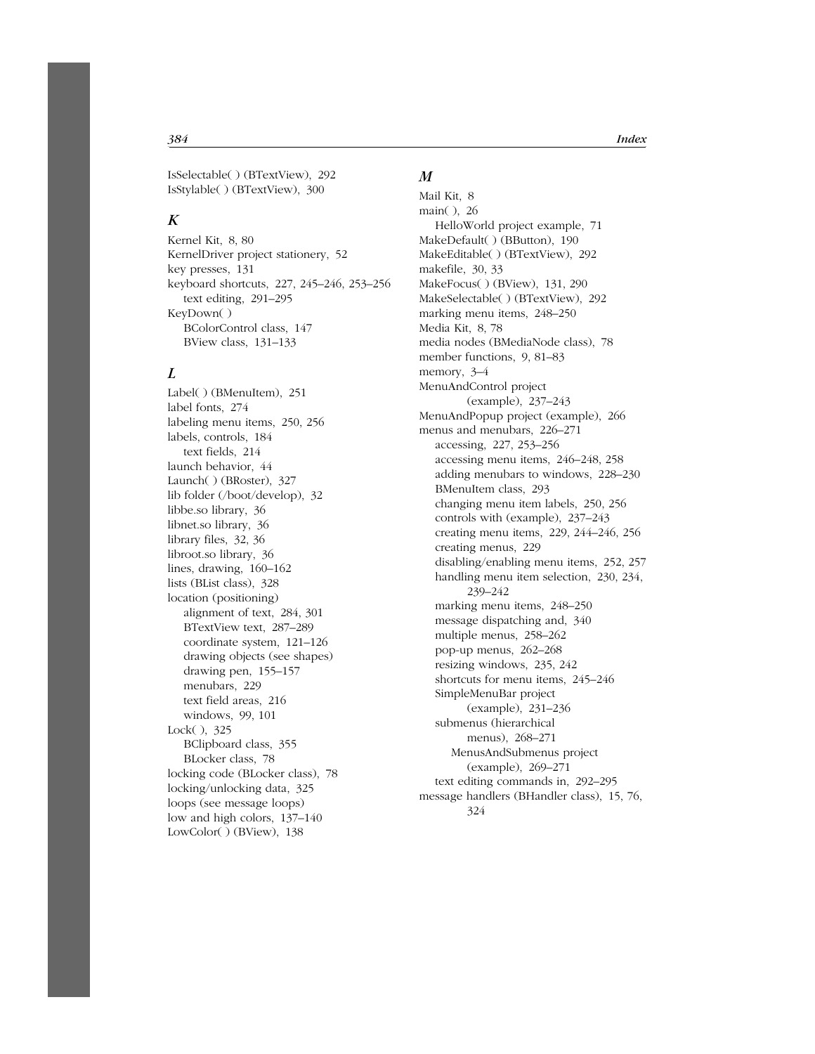IsSelectable( ) (BTextView), 292 IsStylable( ) (BTextView), 300

# *K*

Kernel Kit, 8, 80 KernelDriver project stationery, 52 key presses, 131 keyboard shortcuts, 227, 245–246, 253–256 text editing, 291–295 KeyDown( ) BColorControl class, 147 BView class, 131–133

# *L*

Label( ) (BMenuItem), 251 label fonts, 274 labeling menu items, 250, 256 labels, controls, 184 text fields, 214 launch behavior, 44 Launch( ) (BRoster), 327 lib folder (/boot/develop), 32 libbe.so library, 36 libnet.so library, 36 library files, 32, 36 libroot.so library, 36 lines, drawing, 160–162 lists (BList class), 328 location (positioning) alignment of text, 284, 301 BTextView text, 287–289 coordinate system, 121–126 drawing objects (see shapes) drawing pen, 155–157 menubars, 229 text field areas, 216 windows, 99, 101 Lock( ), 325 BClipboard class, 355 BLocker class, 78 locking code (BLocker class), 78 locking/unlocking data, 325 loops (see message loops) low and high colors, 137–140 LowColor( ) (BView), 138

#### *M*

Mail Kit, 8 main( ), 26 HelloWorld project example, 71 MakeDefault( ) (BButton), 190 MakeEditable( ) (BTextView), 292 makefile, 30, 33 MakeFocus( ) (BView), 131, 290 MakeSelectable( ) (BTextView), 292 marking menu items, 248–250 Media Kit, 8, 78 media nodes (BMediaNode class), 78 member functions, 9, 81–83 memory, 3–4 MenuAndControl project (example), 237–243 MenuAndPopup project (example), 266 menus and menubars, 226–271 accessing, 227, 253–256 accessing menu items, 246–248, 258 adding menubars to windows, 228–230 BMenuItem class, 293 changing menu item labels, 250, 256 controls with (example), 237–243 creating menu items, 229, 244–246, 256 creating menus, 229 disabling/enabling menu items, 252, 257 handling menu item selection, 230, 234, 239–242 marking menu items, 248–250 message dispatching and, 340 multiple menus, 258–262 pop-up menus, 262–268 resizing windows, 235, 242 shortcuts for menu items, 245–246 SimpleMenuBar project (example), 231–236 submenus (hierarchical menus), 268–271 MenusAndSubmenus project (example), 269–271 text editing commands in, 292–295 message handlers (BHandler class), 15, 76, 324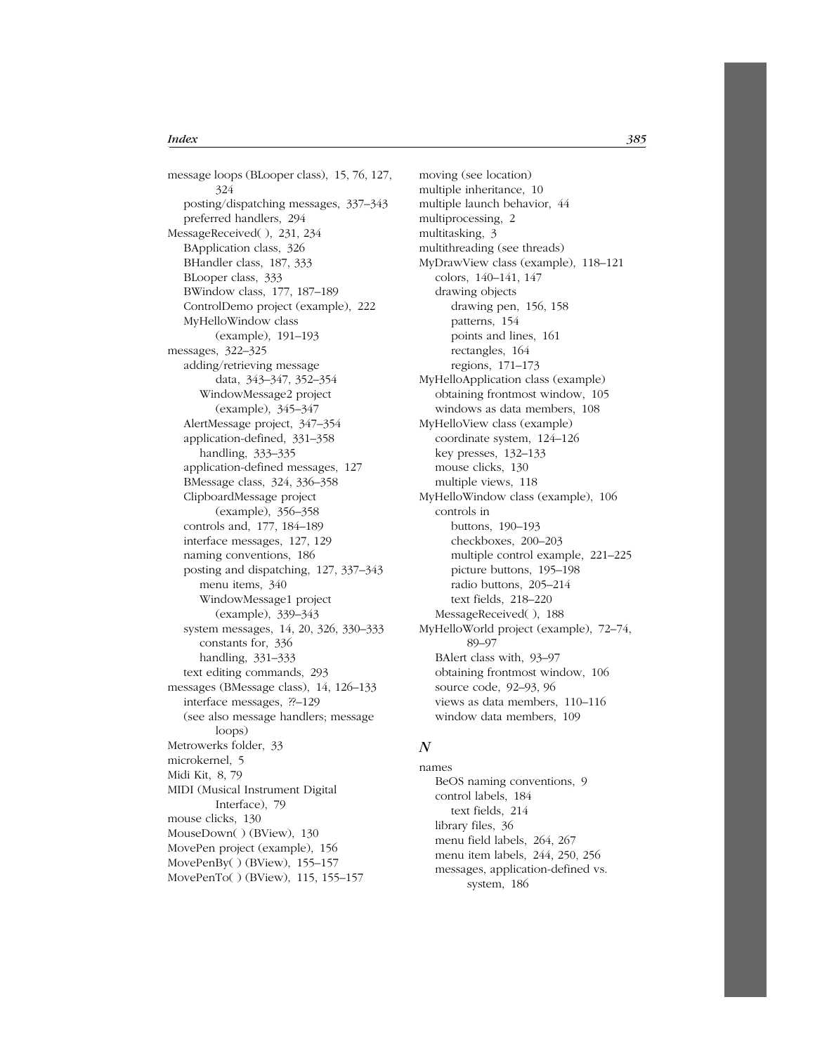message loops (BLooper class), 15, 76, 127, 324 posting/dispatching messages, 337–343 preferred handlers, 294 MessageReceived( ), 231, 234 BApplication class, 326 BHandler class, 187, 333 BLooper class, 333 BWindow class, 177, 187–189 ControlDemo project (example), 222 MyHelloWindow class (example), 191–193 messages, 322–325 adding/retrieving message data, 343–347, 352–354 WindowMessage2 project (example), 345–347 AlertMessage project, 347–354 application-defined, 331–358 handling, 333–335 application-defined messages, 127 BMessage class, 324, 336–358 ClipboardMessage project (example), 356–358 controls and, 177, 184–189 interface messages, 127, 129 naming conventions, 186 posting and dispatching, 127, 337–343 menu items, 340 WindowMessage1 project (example), 339–343 system messages, 14, 20, 326, 330–333 constants for, 336 handling, 331–333 text editing commands, 293 messages (BMessage class), 14, 126–133 interface messages, ??–129 (see also message handlers; message loops) Metrowerks folder, 33 microkernel, 5 Midi Kit, 8, 79 MIDI (Musical Instrument Digital Interface), 79 mouse clicks, 130 MouseDown( ) (BView), 130 MovePen project (example), 156 MovePenBy( ) (BView), 155–157 MovePenTo( ) (BView), 115, 155–157

moving (see location) multiple inheritance, 10 multiple launch behavior, 44 multiprocessing, 2 multitasking, 3 multithreading (see threads) MyDrawView class (example), 118–121 colors, 140–141, 147 drawing objects drawing pen, 156, 158 patterns, 154 points and lines, 161 rectangles, 164 regions, 171–173 MyHelloApplication class (example) obtaining frontmost window, 105 windows as data members, 108 MyHelloView class (example) coordinate system, 124–126 key presses, 132–133 mouse clicks, 130 multiple views, 118 MyHelloWindow class (example), 106 controls in buttons, 190–193 checkboxes, 200–203 multiple control example, 221–225 picture buttons, 195–198 radio buttons, 205–214 text fields, 218–220 MessageReceived( ), 188 MyHelloWorld project (example), 72–74, 89–97 BAlert class with, 93–97 obtaining frontmost window, 106 source code, 92–93, 96 views as data members, 110–116 window data members, 109

#### *N*

names BeOS naming conventions, 9 control labels, 184 text fields, 214 library files, 36 menu field labels, 264, 267 menu item labels, 244, 250, 256 messages, application-defined vs. system, 186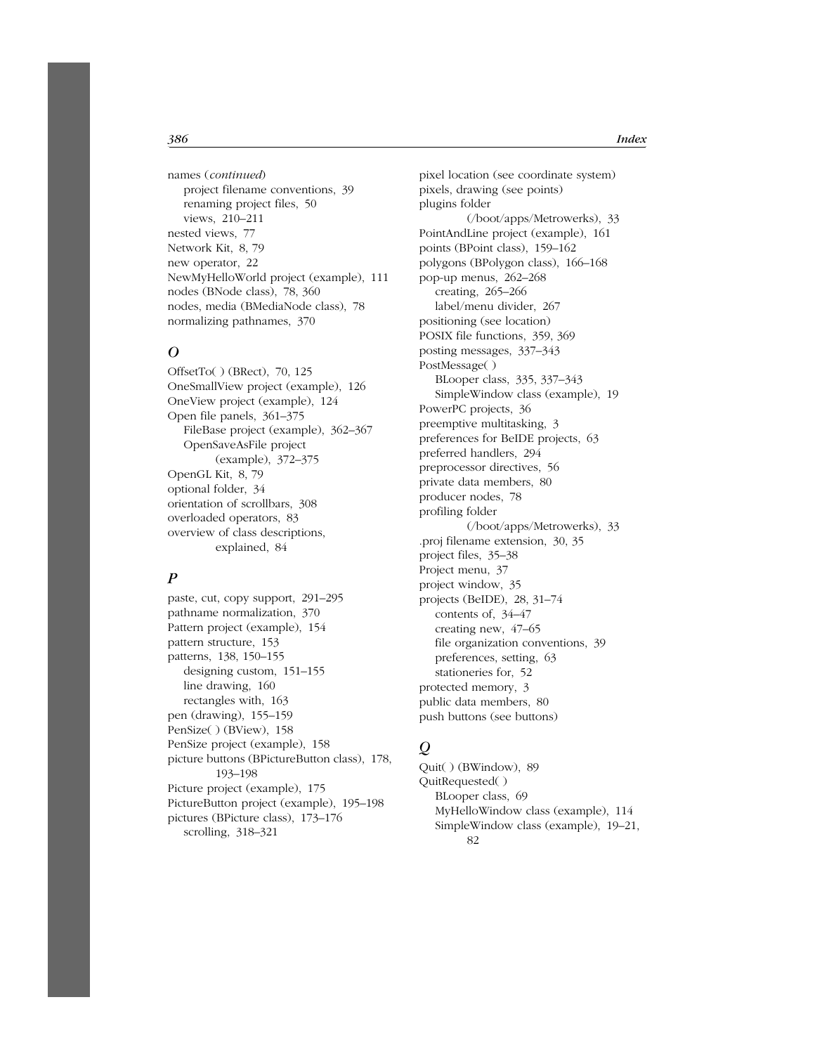names (*continued*) project filename conventions, 39 renaming project files, 50 views, 210–211 nested views, 77 Network Kit, 8, 79 new operator, 22 NewMyHelloWorld project (example), 111 nodes (BNode class), 78, 360 nodes, media (BMediaNode class), 78 normalizing pathnames, 370

#### *O*

OffsetTo( ) (BRect), 70, 125 OneSmallView project (example), 126 OneView project (example), 124 Open file panels, 361–375 FileBase project (example), 362–367 OpenSaveAsFile project (example), 372–375 OpenGL Kit, 8, 79 optional folder, 34 orientation of scrollbars, 308 overloaded operators, 83 overview of class descriptions, explained, 84

# *P*

paste, cut, copy support, 291–295 pathname normalization, 370 Pattern project (example), 154 pattern structure, 153 patterns, 138, 150–155 designing custom, 151–155 line drawing, 160 rectangles with, 163 pen (drawing), 155–159 PenSize( ) (BView), 158 PenSize project (example), 158 picture buttons (BPictureButton class), 178, 193–198 Picture project (example), 175 PictureButton project (example), 195–198 pictures (BPicture class), 173–176 scrolling, 318–321

pixel location (see coordinate system) pixels, drawing (see points) plugins folder (/boot/apps/Metrowerks), 33 PointAndLine project (example), 161 points (BPoint class), 159–162 polygons (BPolygon class), 166–168 pop-up menus, 262–268 creating, 265–266 label/menu divider, 267 positioning (see location) POSIX file functions, 359, 369 posting messages, 337–343 PostMessage( ) BLooper class, 335, 337–343 SimpleWindow class (example), 19 PowerPC projects, 36 preemptive multitasking, 3 preferences for BeIDE projects, 63 preferred handlers, 294 preprocessor directives, 56 private data members, 80 producer nodes, 78 profiling folder (/boot/apps/Metrowerks), 33 .proj filename extension, 30, 35 project files, 35–38 Project menu, 37 project window, 35 projects (BeIDE), 28, 31–74 contents of, 34–47 creating new, 47–65 file organization conventions, 39 preferences, setting, 63 stationeries for, 52 protected memory, 3 public data members, 80 push buttons (see buttons)

# *Q*

Quit( ) (BWindow), 89 QuitRequested( ) BLooper class, 69 MyHelloWindow class (example), 114 SimpleWindow class (example), 19–21, 82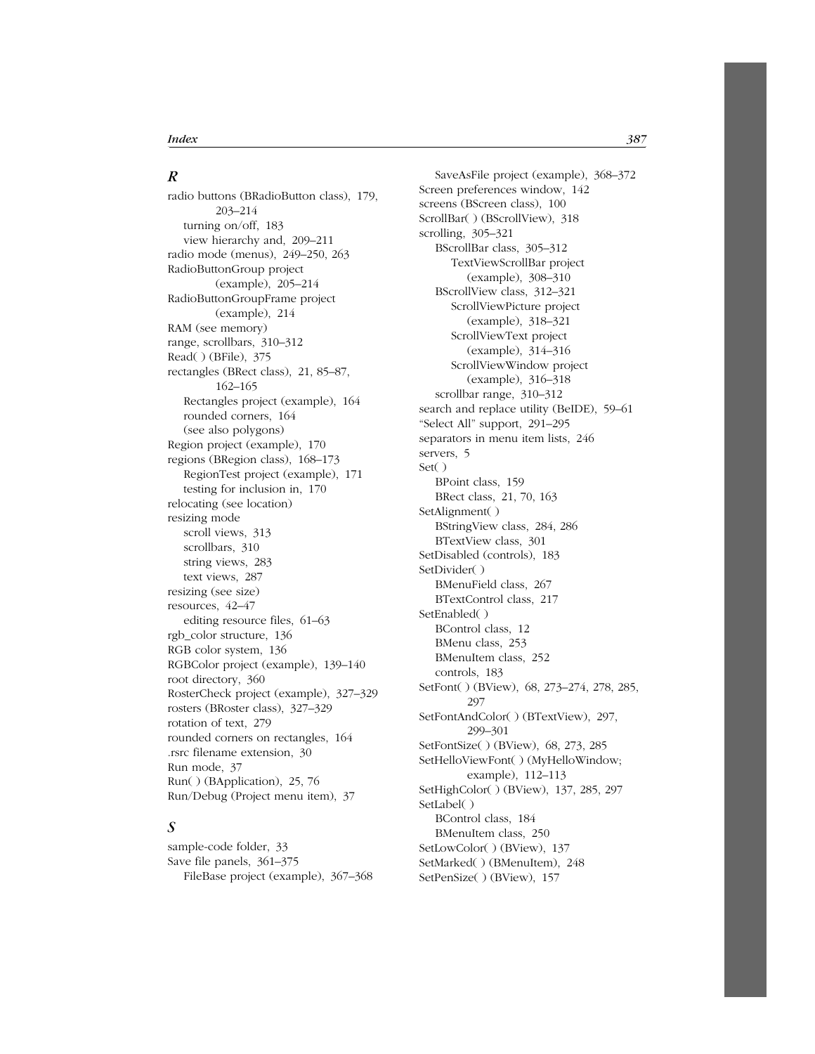#### *R*

radio buttons (BRadioButton class), 179, 203–214 turning on/off, 183 view hierarchy and, 209–211 radio mode (menus), 249–250, 263 RadioButtonGroup project (example), 205–214 RadioButtonGroupFrame project (example), 214 RAM (see memory) range, scrollbars, 310–312 Read( ) (BFile), 375 rectangles (BRect class), 21, 85–87, 162–165 Rectangles project (example), 164 rounded corners, 164 (see also polygons) Region project (example), 170 regions (BRegion class), 168–173 RegionTest project (example), 171 testing for inclusion in, 170 relocating (see location) resizing mode scroll views, 313 scrollbars, 310 string views, 283 text views, 287 resizing (see size) resources, 42–47 editing resource files, 61–63 rgb\_color structure, 136 RGB color system, 136 RGBColor project (example), 139–140 root directory, 360 RosterCheck project (example), 327–329 rosters (BRoster class), 327–329 rotation of text, 279 rounded corners on rectangles, 164 .rsrc filename extension, 30 Run mode, 37 Run( ) (BApplication), 25, 76 Run/Debug (Project menu item), 37

# *S*

sample-code folder, 33 Save file panels, 361–375 FileBase project (example), 367–368

SaveAsFile project (example), 368–372 Screen preferences window, 142 screens (BScreen class), 100 ScrollBar( ) (BScrollView), 318 scrolling, 305–321 BScrollBar class, 305–312 TextViewScrollBar project (example), 308–310 BScrollView class, 312–321 ScrollViewPicture project (example), 318–321 ScrollViewText project (example), 314–316 ScrollViewWindow project (example), 316–318 scrollbar range, 310–312 search and replace utility (BeIDE), 59–61 "Select All" support, 291–295 separators in menu item lists, 246 servers, 5 Set( ) BPoint class, 159 BRect class, 21, 70, 163 SetAlignment( ) BStringView class, 284, 286 BTextView class, 301 SetDisabled (controls), 183 SetDivider( ) BMenuField class, 267 BTextControl class, 217 SetEnabled( ) BControl class, 12 BMenu class, 253 BMenuItem class, 252 controls, 183 SetFont( ) (BView), 68, 273–274, 278, 285, 297 SetFontAndColor( ) (BTextView), 297, 299–301 SetFontSize( ) (BView), 68, 273, 285 SetHelloViewFont( ) (MyHelloWindow; example), 112–113 SetHighColor( ) (BView), 137, 285, 297 SetLabel( ) BControl class, 184 BMenuItem class, 250 SetLowColor( ) (BView), 137 SetMarked( ) (BMenuItem), 248 SetPenSize( ) (BView), 157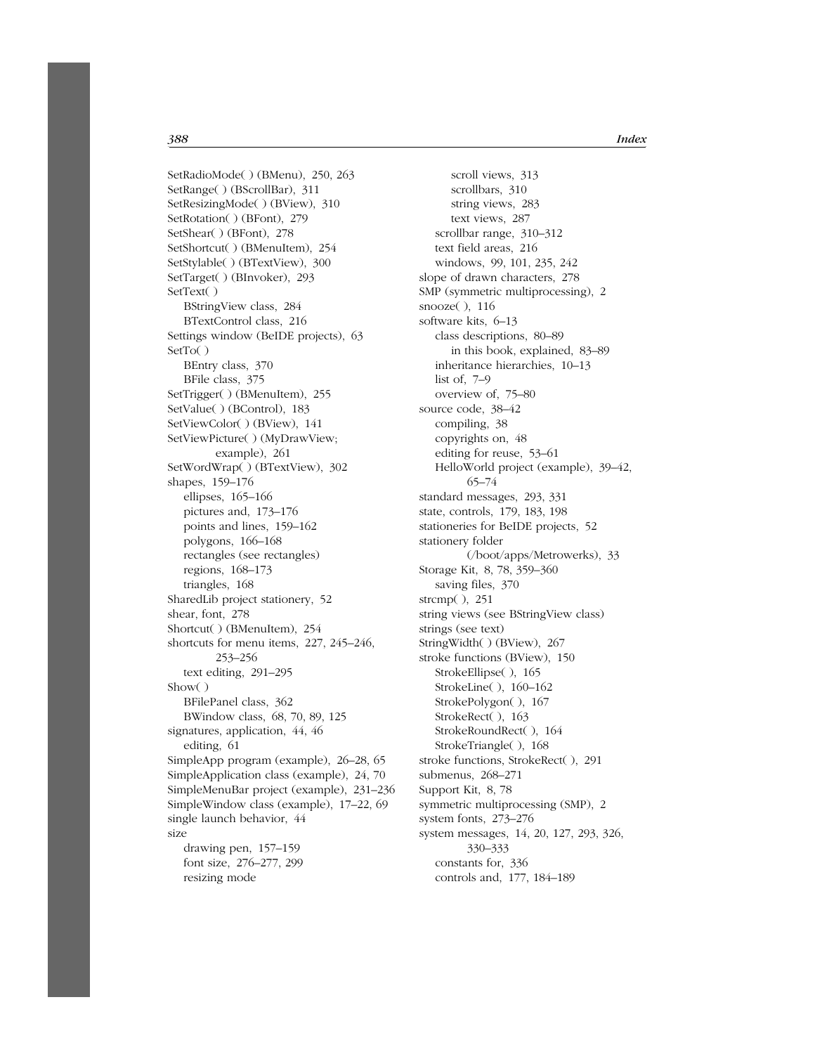*388 Index*

SetRadioMode( ) (BMenu), 250, 263 SetRange( ) (BScrollBar), 311 SetResizingMode( ) (BView), 310 SetRotation( ) (BFont), 279 SetShear( ) (BFont), 278 SetShortcut( ) (BMenuItem), 254 SetStylable( ) (BTextView), 300 SetTarget( ) (BInvoker), 293 SetText( ) BStringView class, 284 BTextControl class, 216 Settings window (BeIDE projects), 63 SetTo( ) BEntry class, 370 BFile class, 375 SetTrigger( ) (BMenuItem), 255 SetValue( ) (BControl), 183 SetViewColor( ) (BView), 141 SetViewPicture( ) (MyDrawView; example), 261 SetWordWrap( ) (BTextView), 302 shapes, 159–176 ellipses, 165–166 pictures and, 173–176 points and lines, 159–162 polygons, 166–168 rectangles (see rectangles) regions, 168–173 triangles, 168 SharedLib project stationery, 52 shear, font, 278 Shortcut( ) (BMenuItem), 254 shortcuts for menu items, 227, 245–246, 253–256 text editing, 291–295 Show( ) BFilePanel class, 362 BWindow class, 68, 70, 89, 125 signatures, application, 44, 46 editing, 61 SimpleApp program (example), 26–28, 65 SimpleApplication class (example), 24, 70 SimpleMenuBar project (example), 231–236 SimpleWindow class (example), 17–22, 69 single launch behavior, 44 size drawing pen, 157–159 font size, 276–277, 299 resizing mode

scroll views, 313 scrollbars, 310 string views, 283 text views, 287 scrollbar range, 310–312 text field areas, 216 windows, 99, 101, 235, 242 slope of drawn characters, 278 SMP (symmetric multiprocessing), 2 snooze( ), 116 software kits, 6–13 class descriptions, 80–89 in this book, explained, 83–89 inheritance hierarchies, 10–13 list of, 7–9 overview of, 75–80 source code, 38–42 compiling, 38 copyrights on, 48 editing for reuse, 53–61 HelloWorld project (example), 39–42, 65–74 standard messages, 293, 331 state, controls, 179, 183, 198 stationeries for BeIDE projects, 52 stationery folder (/boot/apps/Metrowerks), 33 Storage Kit, 8, 78, 359–360 saving files, 370 strcmp( ), 251 string views (see BStringView class) strings (see text) StringWidth( ) (BView), 267 stroke functions (BView), 150 StrokeEllipse( ), 165 StrokeLine( ), 160–162 StrokePolygon( ), 167 StrokeRect( ), 163 StrokeRoundRect( ), 164 StrokeTriangle( ), 168 stroke functions, StrokeRect( ), 291 submenus, 268–271 Support Kit, 8, 78 symmetric multiprocessing (SMP), 2 system fonts, 273–276 system messages, 14, 20, 127, 293, 326, 330–333 constants for, 336 controls and, 177, 184–189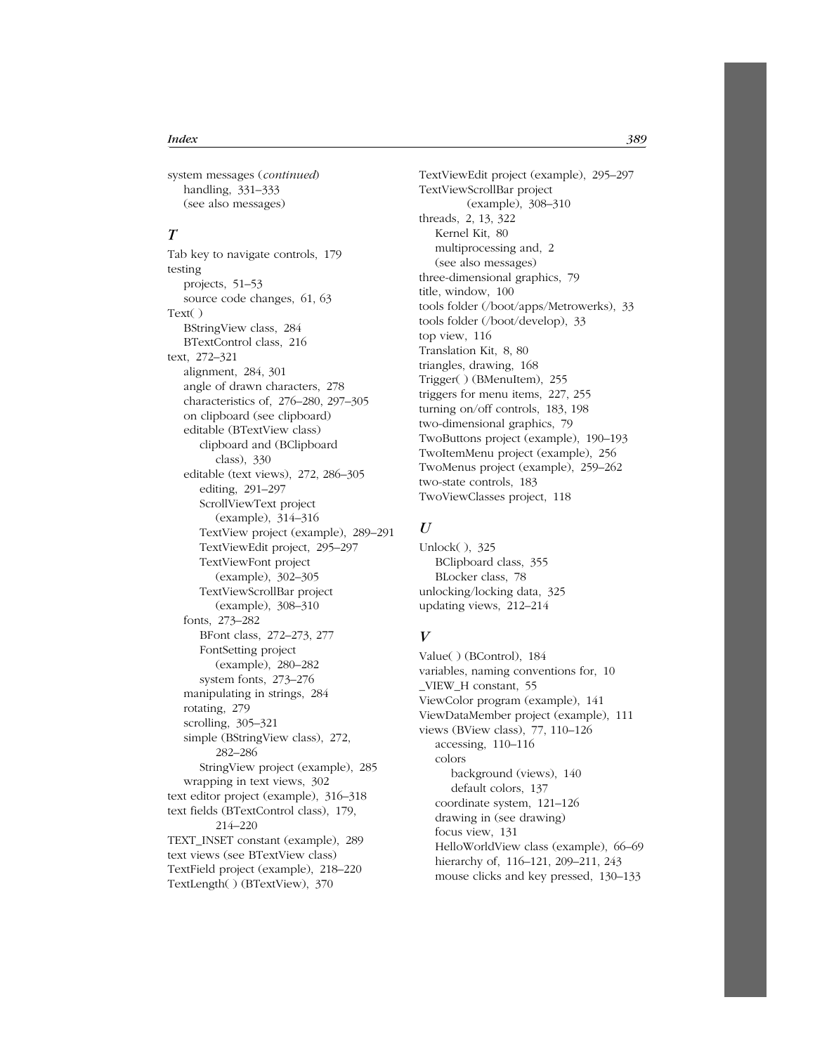system messages (*continued*) handling, 331–333 (see also messages)

# *T*

Tab key to navigate controls, 179 testing projects, 51–53 source code changes, 61, 63 Text( ) BStringView class, 284 BTextControl class, 216 text, 272–321 alignment, 284, 301 angle of drawn characters, 278 characteristics of, 276–280, 297–305 on clipboard (see clipboard) editable (BTextView class) clipboard and (BClipboard class), 330 editable (text views), 272, 286–305 editing, 291–297 ScrollViewText project (example), 314–316 TextView project (example), 289–291 TextViewEdit project, 295–297 TextViewFont project (example), 302–305 TextViewScrollBar project (example), 308–310 fonts, 273–282 BFont class, 272–273, 277 FontSetting project (example), 280–282 system fonts, 273–276 manipulating in strings, 284 rotating, 279 scrolling, 305–321 simple (BStringView class), 272, 282–286 StringView project (example), 285 wrapping in text views, 302 text editor project (example), 316–318 text fields (BTextControl class), 179, 214–220 TEXT\_INSET constant (example), 289 text views (see BTextView class) TextField project (example), 218–220 TextLength( ) (BTextView), 370

TextViewEdit project (example), 295–297 TextViewScrollBar project (example), 308–310 threads, 2, 13, 322 Kernel Kit, 80 multiprocessing and, 2 (see also messages) three-dimensional graphics, 79 title, window, 100 tools folder (/boot/apps/Metrowerks), 33 tools folder (/boot/develop), 33 top view, 116 Translation Kit, 8, 80 triangles, drawing, 168 Trigger( ) (BMenuItem), 255 triggers for menu items, 227, 255 turning on/off controls, 183, 198 two-dimensional graphics, 79 TwoButtons project (example), 190–193 TwoItemMenu project (example), 256 TwoMenus project (example), 259–262 two-state controls, 183 TwoViewClasses project, 118

#### *U*

Unlock( ), 325 BClipboard class, 355 BLocker class, 78 unlocking/locking data, 325 updating views, 212–214

### $V$

Value( ) (BControl), 184 variables, naming conventions for, 10 \_VIEW\_H constant, 55 ViewColor program (example), 141 ViewDataMember project (example), 111 views (BView class), 77, 110–126 accessing, 110–116 colors background (views), 140 default colors, 137 coordinate system, 121–126 drawing in (see drawing) focus view, 131 HelloWorldView class (example), 66–69 hierarchy of, 116–121, 209–211, 243 mouse clicks and key pressed, 130–133